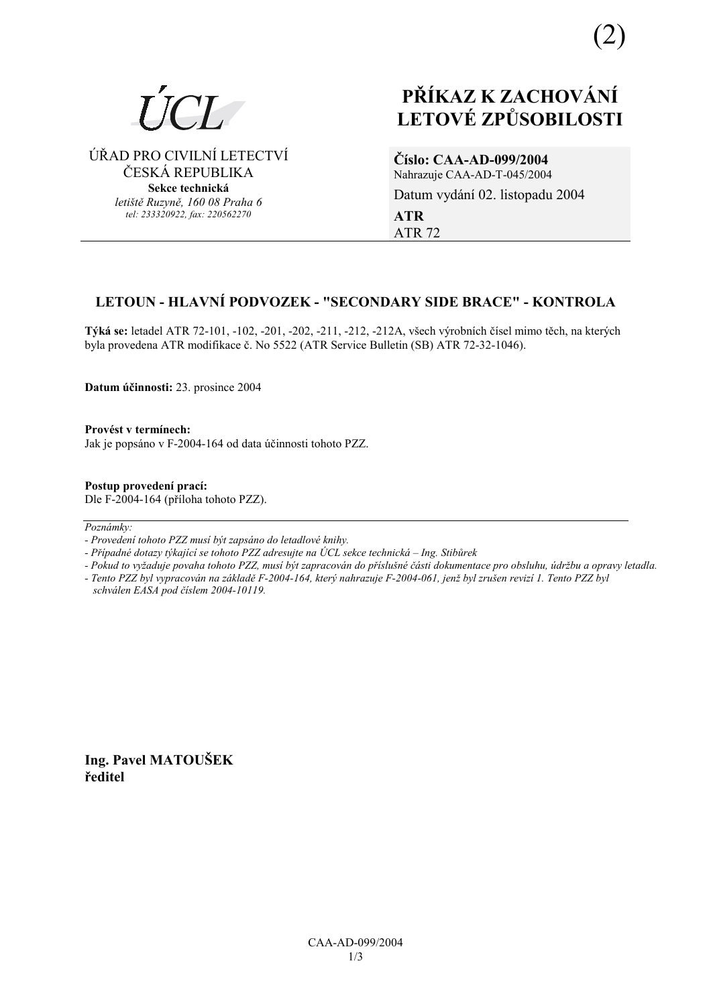

# ÚŘAD PRO CIVILNÍ LETECTVÍ ČESKÁ REPUBLIKA

**Sekce technická** *letiötě Ruzyně, 160 08 Praha 6 tel: 233320922, fax: 220562270*

# **PŘÍKAZ K ZACHOVÁNÍ LETOV… ZPŮSOBILOSTI**

# **ČÌslo: CAA-AD-099/2004**

Nahrazuje CAA-AD-T-045/2004 Datum vydání 02. listopadu 2004 **ATR**  ATR 72

# LETOUN - HLAVNÍ PODVOZEK - "SECONDARY SIDE BRACE" - KONTROLA

**Týká se:** letadel ATR 72-101, -102, -201, -202, -211, -212, -212A, všech výrobních čísel mimo těch, na kterých byla provedena ATR modifikace č. No 5522 (ATR Service Bulletin (SB) ATR 72-32-1046).

**Datum ˙činnosti:** 23. prosince 2004

**ProvÈst v termÌnech:**  Jak je popsáno v F-2004-164 od data účinnosti tohoto PZZ.

**Postup provedenÌ pracÌ:**  Dle F-2004-164 (příloha tohoto PZZ).

 $Poznámkv:$ 

- *Pokud to vyûaduje povaha tohoto PZZ, musÌ b˝t zapracov·n do přÌsluönÈ č·sti dokumentace pro obsluhu, ˙drûbu a opravy letadla.*
- *Tento PZZ byl vypracov·n na z·kladě F-2004-164, kter˝ nahrazuje F-2004-061, jenû byl zruöen revizÌ 1. Tento PZZ byl schv·len EASA pod čÌslem 2004-10119.*

**Ing. Pavel MATOUäEK ředitel** 

*<sup>-</sup> ProvedenÌ tohoto PZZ musÌ b˝t zaps·no do letadlovÈ knihy.* 

*<sup>-</sup> Případné dotazy týkající se tohoto PZZ adresujte na ÚCL sekce technická – Ing. Stibůrek*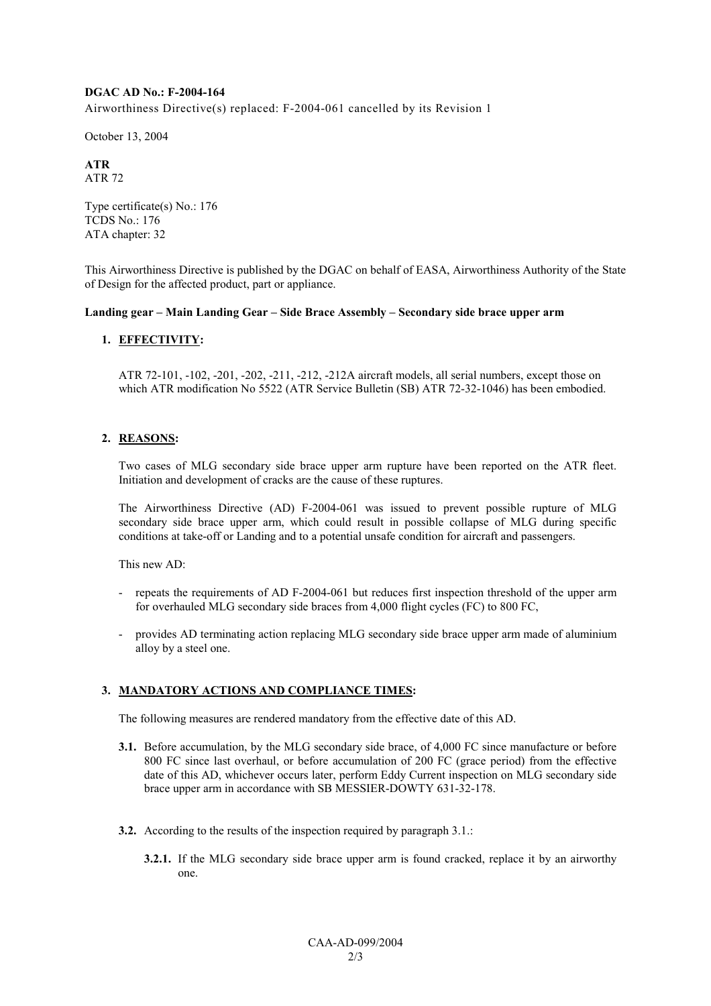### **DGAC AD No.: F-2004-164**

Airworthiness Directive(s) replaced: F-2004-061 cancelled by its Revision 1

October 13, 2004

#### **ATR**  ATR 72

Type certificate(s) No.: 176 TCDS No.: 176 ATA chapter: 32

This Airworthiness Directive is published by the DGAC on behalf of EASA, Airworthiness Authority of the State of Design for the affected product, part or appliance.

## Landing gear – Main Landing Gear – Side Brace Assembly – Secondary side brace upper arm

# **1. EFFECTIVITY:**

ATR 72-101, -102, -201, -202, -211, -212, -212A aircraft models, all serial numbers, except those on which ATR modification No 5522 (ATR Service Bulletin (SB) ATR 72-32-1046) has been embodied.

## **2. REASONS:**

Two cases of MLG secondary side brace upper arm rupture have been reported on the ATR fleet. Initiation and development of cracks are the cause of these ruptures.

The Airworthiness Directive (AD) F-2004-061 was issued to prevent possible rupture of MLG secondary side brace upper arm, which could result in possible collapse of MLG during specific conditions at take-off or Landing and to a potential unsafe condition for aircraft and passengers.

This new AD:

- repeats the requirements of AD F-2004-061 but reduces first inspection threshold of the upper arm for overhauled MLG secondary side braces from 4,000 flight cycles (FC) to 800 FC,
- provides AD terminating action replacing MLG secondary side brace upper arm made of aluminium alloy by a steel one.

### **3. MANDATORY ACTIONS AND COMPLIANCE TIMES:**

The following measures are rendered mandatory from the effective date of this AD.

- **3.1.** Before accumulation, by the MLG secondary side brace, of 4,000 FC since manufacture or before 800 FC since last overhaul, or before accumulation of 200 FC (grace period) from the effective date of this AD, whichever occurs later, perform Eddy Current inspection on MLG secondary side brace upper arm in accordance with SB MESSIER-DOWTY 631-32-178.
- **3.2.** According to the results of the inspection required by paragraph 3.1.:
	- **3.2.1.** If the MLG secondary side brace upper arm is found cracked, replace it by an airworthy one.